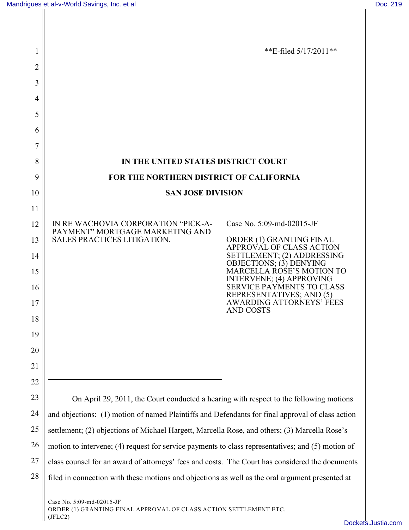| 1  |                                                                                                           | **E-filed $5/17/2011$ **                                            |  |
|----|-----------------------------------------------------------------------------------------------------------|---------------------------------------------------------------------|--|
| 2  |                                                                                                           |                                                                     |  |
| 3  |                                                                                                           |                                                                     |  |
| 4  |                                                                                                           |                                                                     |  |
| 5  |                                                                                                           |                                                                     |  |
| 6  |                                                                                                           |                                                                     |  |
| 7  |                                                                                                           |                                                                     |  |
| 8  | IN THE UNITED STATES DISTRICT COURT                                                                       |                                                                     |  |
| 9  | FOR THE NORTHERN DISTRICT OF CALIFORNIA                                                                   |                                                                     |  |
| 10 | <b>SAN JOSE DIVISION</b>                                                                                  |                                                                     |  |
| 11 |                                                                                                           |                                                                     |  |
| 12 | IN RE WACHOVIA CORPORATION "PICK-A-<br>PAYMENT" MORTGAGE MARKETING AND<br>SALES PRACTICES LITIGATION.     | Case No. 5:09-md-02015-JF                                           |  |
| 13 |                                                                                                           | ORDER (1) GRANTING FINAL<br>APPROVAL OF CLASS ACTION                |  |
| 14 |                                                                                                           | SETTLEMENT; (2) ADDRESSING<br>OBJECTIONS; (3) DENYING               |  |
| 15 |                                                                                                           | <b>MARCELLA ROSE'S MOTION TO</b><br><b>INTERVENE; (4) APPROVING</b> |  |
| 16 |                                                                                                           | <b>SERVICE PAYMENTS TO CLASS</b><br>REPRESENTATIVES; AND (5)        |  |
| 17 |                                                                                                           | <b>AWARDING ATTORNEYS' FEES</b><br><b>AND COSTS</b>                 |  |
| 18 |                                                                                                           |                                                                     |  |
| 19 |                                                                                                           |                                                                     |  |
| 20 |                                                                                                           |                                                                     |  |
| 21 |                                                                                                           |                                                                     |  |
| 22 |                                                                                                           |                                                                     |  |
| 23 | On April 29, 2011, the Court conducted a hearing with respect to the following motions                    |                                                                     |  |
| 24 | and objections: (1) motion of named Plaintiffs and Defendants for final approval of class action          |                                                                     |  |
| 25 | settlement; (2) objections of Michael Hargett, Marcella Rose, and others; (3) Marcella Rose's             |                                                                     |  |
| 26 | motion to intervene; (4) request for service payments to class representatives; and (5) motion of         |                                                                     |  |
| 27 | class counsel for an award of attorneys' fees and costs. The Court has considered the documents           |                                                                     |  |
| 28 | filed in connection with these motions and objections as well as the oral argument presented at           |                                                                     |  |
|    | Case No. 5:09-md-02015-JF<br>ORDER (1) GRANTING FINAL APPROVAL OF CLASS ACTION SETTLEMENT ETC.<br>(IFLC2) |                                                                     |  |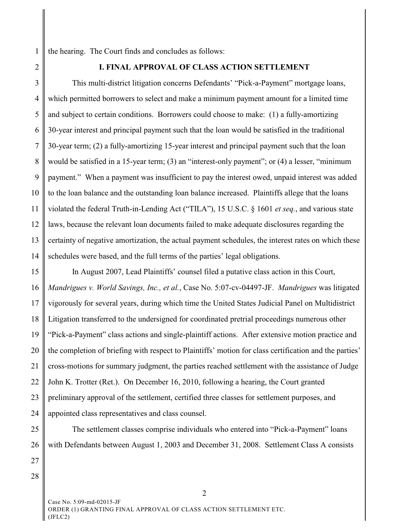1 the hearing. The Court finds and concludes as follows:

2

# **I. FINAL APPROVAL OF CLASS ACTION SETTLEMENT**

3 4 5 6 7 8 9 10 11 12 13 14 This multi-district litigation concerns Defendants' "Pick-a-Payment" mortgage loans, which permitted borrowers to select and make a minimum payment amount for a limited time and subject to certain conditions. Borrowers could choose to make: (1) a fully-amortizing 30-year interest and principal payment such that the loan would be satisfied in the traditional 30-year term; (2) a fully-amortizing 15-year interest and principal payment such that the loan would be satisfied in a 15-year term; (3) an "interest-only payment"; or (4) a lesser, "minimum payment." When a payment was insufficient to pay the interest owed, unpaid interest was added to the loan balance and the outstanding loan balance increased. Plaintiffs allege that the loans violated the federal Truth-in-Lending Act ("TILA"), 15 U.S.C. § 1601 *et seq.*, and various state laws, because the relevant loan documents failed to make adequate disclosures regarding the certainty of negative amortization, the actual payment schedules, the interest rates on which these schedules were based, and the full terms of the parties' legal obligations.

15 16 17 18 19 20 21 22 23 24 In August 2007, Lead Plaintiffs' counsel filed a putative class action in this Court, *Mandrigues v. World Savings, Inc., et al.*, Case No. 5:07-cv-04497-JF. *Mandrigues* was litigated vigorously for several years, during which time the United States Judicial Panel on Multidistrict Litigation transferred to the undersigned for coordinated pretrial proceedings numerous other "Pick-a-Payment" class actions and single-plaintiff actions. After extensive motion practice and the completion of briefing with respect to Plaintiffs' motion for class certification and the parties' cross-motions for summary judgment, the parties reached settlement with the assistance of Judge John K. Trotter (Ret.). On December 16, 2010, following a hearing, the Court granted preliminary approval of the settlement, certified three classes for settlement purposes, and appointed class representatives and class counsel.

25 26 27 The settlement classes comprise individuals who entered into "Pick-a-Payment" loans

with Defendants between August 1, 2003 and December 31, 2008. Settlement Class A consists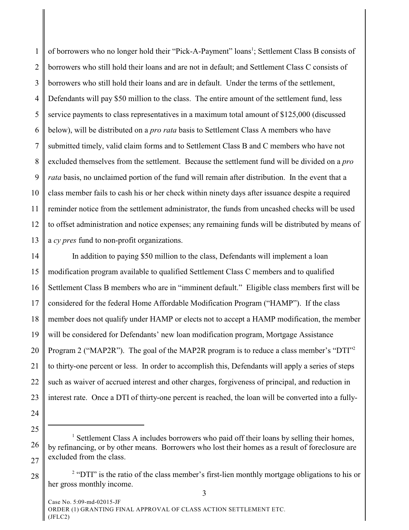1 2 3 4 5 6 7 8 9 10 11 12 13 of borrowers who no longer hold their "Pick-A-Payment" loans<sup>1</sup>; Settlement Class B consists of borrowers who still hold their loans and are not in default; and Settlement Class C consists of borrowers who still hold their loans and are in default. Under the terms of the settlement, Defendants will pay \$50 million to the class. The entire amount of the settlement fund, less service payments to class representatives in a maximum total amount of \$125,000 (discussed below), will be distributed on a *pro rata* basis to Settlement Class A members who have submitted timely, valid claim forms and to Settlement Class B and C members who have not excluded themselves from the settlement. Because the settlement fund will be divided on a *pro rata* basis, no unclaimed portion of the fund will remain after distribution. In the event that a class member fails to cash his or her check within ninety days after issuance despite a required reminder notice from the settlement administrator, the funds from uncashed checks will be used to offset administration and notice expenses; any remaining funds will be distributed by means of a *cy pres* fund to non-profit organizations.

14 15 16 17 18 19 20 21 22 23 In addition to paying \$50 million to the class, Defendants will implement a loan modification program available to qualified Settlement Class C members and to qualified Settlement Class B members who are in "imminent default." Eligible class members first will be considered for the federal Home Affordable Modification Program ("HAMP"). If the class member does not qualify under HAMP or elects not to accept a HAMP modification, the member will be considered for Defendants' new loan modification program, Mortgage Assistance Program 2 ("MAP2R"). The goal of the MAP2R program is to reduce a class member's "DTI"<sup>2</sup> to thirty-one percent or less. In order to accomplish this, Defendants will apply a series of steps such as waiver of accrued interest and other charges, forgiveness of principal, and reduction in interest rate. Once a DTI of thirty-one percent is reached, the loan will be converted into a fully-

- 24
- 25

<sup>26</sup> 27 <sup>1</sup> Settlement Class A includes borrowers who paid off their loans by selling their homes, by refinancing, or by other means. Borrowers who lost their homes as a result of foreclosure are excluded from the class.

<sup>28</sup> <sup>2</sup> "DTI" is the ratio of the class member's first-lien monthly mortgage obligations to his or her gross monthly income.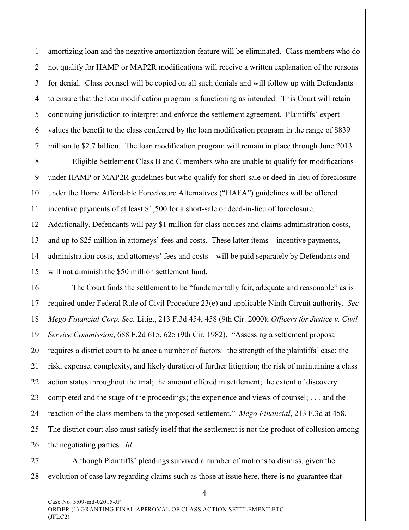1 2 3 4 5 6 7 amortizing loan and the negative amortization feature will be eliminated. Class members who do not qualify for HAMP or MAP2R modifications will receive a written explanation of the reasons for denial. Class counsel will be copied on all such denials and will follow up with Defendants to ensure that the loan modification program is functioning as intended. This Court will retain continuing jurisdiction to interpret and enforce the settlement agreement. Plaintiffs' expert values the benefit to the class conferred by the loan modification program in the range of \$839 million to \$2.7 billion. The loan modification program will remain in place through June 2013.

8 9 10 11 12 13 14 15 Eligible Settlement Class B and C members who are unable to qualify for modifications under HAMP or MAP2R guidelines but who qualify for short-sale or deed-in-lieu of foreclosure under the Home Affordable Foreclosure Alternatives ("HAFA") guidelines will be offered incentive payments of at least \$1,500 for a short-sale or deed-in-lieu of foreclosure. Additionally, Defendants will pay \$1 million for class notices and claims administration costs, and up to \$25 million in attorneys' fees and costs. These latter items – incentive payments, administration costs, and attorneys' fees and costs – will be paid separately by Defendants and will not diminish the \$50 million settlement fund.

16 17 18 19 20 21 22 23 24 25 26 The Court finds the settlement to be "fundamentally fair, adequate and reasonable" as is required under Federal Rule of Civil Procedure 23(e) and applicable Ninth Circuit authority. *See Mego Financial Corp. Sec.* Litig., 213 F.3d 454, 458 (9th Cir. 2000); *Officers for Justice v. Civil Service Commission*, 688 F.2d 615, 625 (9th Cir. 1982). "Assessing a settlement proposal requires a district court to balance a number of factors: the strength of the plaintiffs' case; the risk, expense, complexity, and likely duration of further litigation; the risk of maintaining a class action status throughout the trial; the amount offered in settlement; the extent of discovery completed and the stage of the proceedings; the experience and views of counsel; . . . and the reaction of the class members to the proposed settlement." *Mego Financial*, 213 F.3d at 458. The district court also must satisfy itself that the settlement is not the product of collusion among the negotiating parties. *Id*.

27 28 Although Plaintiffs' pleadings survived a number of motions to dismiss, given the evolution of case law regarding claims such as those at issue here, there is no guarantee that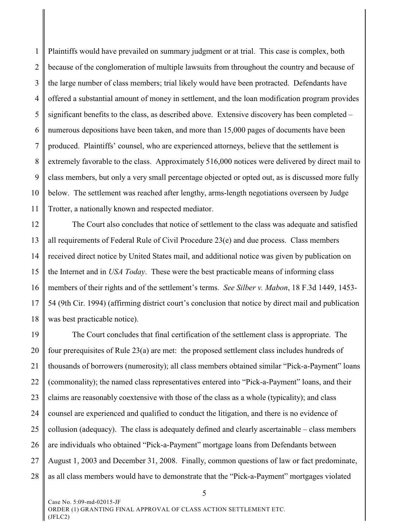1 2 3 4 5 6 7 8 9 10 11 Plaintiffs would have prevailed on summary judgment or at trial. This case is complex, both because of the conglomeration of multiple lawsuits from throughout the country and because of the large number of class members; trial likely would have been protracted. Defendants have offered a substantial amount of money in settlement, and the loan modification program provides significant benefits to the class, as described above. Extensive discovery has been completed – numerous depositions have been taken, and more than 15,000 pages of documents have been produced. Plaintiffs' counsel, who are experienced attorneys, believe that the settlement is extremely favorable to the class. Approximately 516,000 notices were delivered by direct mail to class members, but only a very small percentage objected or opted out, as is discussed more fully below. The settlement was reached after lengthy, arms-length negotiations overseen by Judge Trotter, a nationally known and respected mediator.

12 13 14 15 16 17 18 The Court also concludes that notice of settlement to the class was adequate and satisfied all requirements of Federal Rule of Civil Procedure 23(e) and due process. Class members received direct notice by United States mail, and additional notice was given by publication on the Internet and in *USA Today*. These were the best practicable means of informing class members of their rights and of the settlement's terms. *See Silber v. Mabon*, 18 F.3d 1449, 1453- 54 (9th Cir. 1994) (affirming district court's conclusion that notice by direct mail and publication was best practicable notice).

19 20 21 22 23 24 25 26 27 28 The Court concludes that final certification of the settlement class is appropriate. The four prerequisites of Rule 23(a) are met: the proposed settlement class includes hundreds of thousands of borrowers (numerosity); all class members obtained similar "Pick-a-Payment" loans (commonality); the named class representatives entered into "Pick-a-Payment" loans, and their claims are reasonably coextensive with those of the class as a whole (typicality); and class counsel are experienced and qualified to conduct the litigation, and there is no evidence of collusion (adequacy). The class is adequately defined and clearly ascertainable – class members are individuals who obtained "Pick-a-Payment" mortgage loans from Defendants between August 1, 2003 and December 31, 2008. Finally, common questions of law or fact predominate, as all class members would have to demonstrate that the "Pick-a-Payment" mortgages violated

Case No. 5:09-md-02015-JF ORDER (1) GRANTING FINAL APPROVAL OF CLASS ACTION SETTLEMENT ETC. (JFLC2)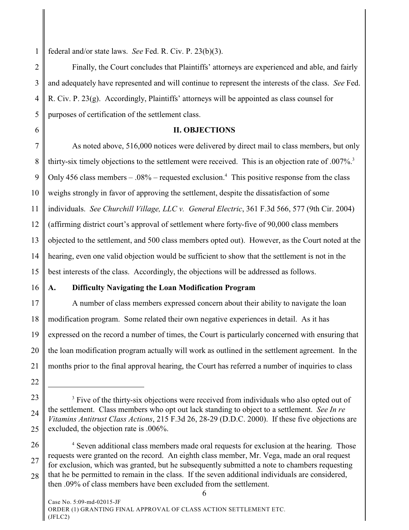1 federal and/or state laws. *See* Fed. R. Civ. P. 23(b)(3).

2 3 4 5 Finally, the Court concludes that Plaintiffs' attorneys are experienced and able, and fairly and adequately have represented and will continue to represent the interests of the class. *See* Fed. R. Civ. P. 23(g). Accordingly, Plaintiffs' attorneys will be appointed as class counsel for purposes of certification of the settlement class.

### **II. OBJECTIONS**

7 8 9 10 11 12 13 14 15 As noted above, 516,000 notices were delivered by direct mail to class members, but only thirty-six timely objections to the settlement were received. This is an objection rate of .007%.<sup>3</sup> Only 456 class members – .08% – requested exclusion.<sup>4</sup> This positive response from the class weighs strongly in favor of approving the settlement, despite the dissatisfaction of some individuals. *See Churchill Village, LLC v. General Electric*, 361 F.3d 566, 577 (9th Cir. 2004) (affirming district court's approval of settlement where forty-five of 90,000 class members objected to the settlement, and 500 class members opted out). However, as the Court noted at the hearing, even one valid objection would be sufficient to show that the settlement is not in the best interests of the class. Accordingly, the objections will be addressed as follows.

16

6

#### **A. Difficulty Navigating the Loan Modification Program**

17 18 19 20 21 A number of class members expressed concern about their ability to navigate the loan modification program. Some related their own negative experiences in detail. As it has expressed on the record a number of times, the Court is particularly concerned with ensuring that the loan modification program actually will work as outlined in the settlement agreement. In the months prior to the final approval hearing, the Court has referred a number of inquiries to class

- 22
- 23 24 25 <sup>3</sup> Five of the thirty-six objections were received from individuals who also opted out of the settlement. Class members who opt out lack standing to object to a settlement. *See In re Vitamins Antitrust Class Actions*, 215 F.3d 26, 28-29 (D.D.C. 2000). If these five objections are excluded, the objection rate is .006%.
- 26 27 28 <sup>4</sup> Seven additional class members made oral requests for exclusion at the hearing. Those requests were granted on the record. An eighth class member, Mr. Vega, made an oral request for exclusion, which was granted, but he subsequently submitted a note to chambers requesting that he be permitted to remain in the class. If the seven additional individuals are considered, then .09% of class members have been excluded from the settlement.

Case No. 5:09-md-02015-JF ORDER (1) GRANTING FINAL APPROVAL OF CLASS ACTION SETTLEMENT ETC. (JFLC2)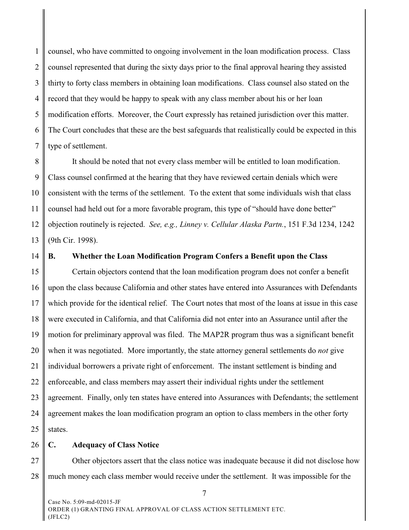1 2 3 4 5 6 7 counsel, who have committed to ongoing involvement in the loan modification process. Class counsel represented that during the sixty days prior to the final approval hearing they assisted thirty to forty class members in obtaining loan modifications. Class counsel also stated on the record that they would be happy to speak with any class member about his or her loan modification efforts. Moreover, the Court expressly has retained jurisdiction over this matter. The Court concludes that these are the best safeguards that realistically could be expected in this type of settlement.

8 9 10 11 12 13 It should be noted that not every class member will be entitled to loan modification. Class counsel confirmed at the hearing that they have reviewed certain denials which were consistent with the terms of the settlement. To the extent that some individuals wish that class counsel had held out for a more favorable program, this type of "should have done better" objection routinely is rejected. *See, e.g., Linney v. Cellular Alaska Partn.*, 151 F.3d 1234, 1242 (9th Cir. 1998).

14

#### **B. Whether the Loan Modification Program Confers a Benefit upon the Class**

15 16 17 18 19 20 21 22 23 24 25 Certain objectors contend that the loan modification program does not confer a benefit upon the class because California and other states have entered into Assurances with Defendants which provide for the identical relief. The Court notes that most of the loans at issue in this case were executed in California, and that California did not enter into an Assurance until after the motion for preliminary approval was filed. The MAP2R program thus was a significant benefit when it was negotiated. More importantly, the state attorney general settlements do *not* give individual borrowers a private right of enforcement. The instant settlement is binding and enforceable, and class members may assert their individual rights under the settlement agreement. Finally, only ten states have entered into Assurances with Defendants; the settlement agreement makes the loan modification program an option to class members in the other forty states.

#### 26 **C. Adequacy of Class Notice**

27 28 Other objectors assert that the class notice was inadequate because it did not disclose how much money each class member would receive under the settlement. It was impossible for the

Case No. 5:09-md-02015-JF ORDER (1) GRANTING FINAL APPROVAL OF CLASS ACTION SETTLEMENT ETC. (JFLC2)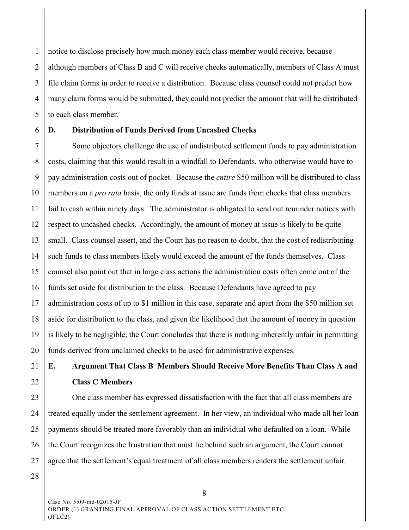1 2 3 4 5 notice to disclose precisely how much money each class member would receive, because although members of Class B and C will receive checks automatically, members of Class A must file claim forms in order to receive a distribution. Because class counsel could not predict how many claim forms would be submitted, they could not predict the amount that will be distributed to each class member.

6

# **D. Distribution of Funds Derived from Uncashed Checks**

7 8 9 10 11 12 13 14 15 16 17 18 19 20 Some objectors challenge the use of undistributed settlement funds to pay administration costs, claiming that this would result in a windfall to Defendants, who otherwise would have to pay administration costs out of pocket. Because the *entire* \$50 million will be distributed to class members on a *pro rata* basis, the only funds at issue are funds from checks that class members fail to cash within ninety days. The administrator is obligated to send out reminder notices with respect to uncashed checks. Accordingly, the amount of money at issue is likely to be quite small. Class counsel assert, and the Court has no reason to doubt, that the cost of redistributing such funds to class members likely would exceed the amount of the funds themselves. Class counsel also point out that in large class actions the administration costs often come out of the funds set aside for distribution to the class. Because Defendants have agreed to pay administration costs of up to \$1 million in this case, separate and apart from the \$50 million set aside for distribution to the class, and given the likelihood that the amount of money in question is likely to be negligible, the Court concludes that there is nothing inherently unfair in permitting funds derived from unclaimed checks to be used for administrative expenses.

21

22

# **E. Argument That Class B Members Should Receive More Benefits Than Class A and Class C Members**

23 24 25 26 27 One class member has expressed dissatisfaction with the fact that all class members are treated equally under the settlement agreement. In her view, an individual who made all her loan payments should be treated more favorably than an individual who defaulted on a loan. While the Court recognizes the frustration that must lie behind such an argument, the Court cannot agree that the settlement's equal treatment of all class members renders the settlement unfair.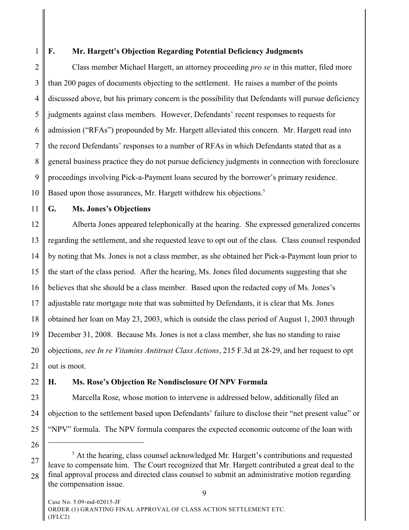1

#### **F. Mr. Hargett's Objection Regarding Potential Deficiency Judgments**

2 3 4 5 6 7 8 9 10 Class member Michael Hargett, an attorney proceeding *pro se* in this matter, filed more than 200 pages of documents objecting to the settlement. He raises a number of the points discussed above, but his primary concern is the possibility that Defendants will pursue deficiency judgments against class members. However, Defendants' recent responses to requests for admission ("RFAs") propounded by Mr. Hargett alleviated this concern. Mr. Hargett read into the record Defendants' responses to a number of RFAs in which Defendants stated that as a general business practice they do not pursue deficiency judgments in connection with foreclosure proceedings involving Pick-a-Payment loans secured by the borrower's primary residence. Based upon those assurances, Mr. Hargett withdrew his objections. 5

11

### **G. Ms. Jones's Objections**

12 13 14 15 16 17 18 19 20 21 Alberta Jones appeared telephonically at the hearing. She expressed generalized concerns regarding the settlement, and she requested leave to opt out of the class. Class counsel responded by noting that Ms. Jones is not a class member, as she obtained her Pick-a-Payment loan prior to the start of the class period. After the hearing, Ms. Jones filed documents suggesting that she believes that she should be a class member. Based upon the redacted copy of Ms. Jones's adjustable rate mortgage note that was submitted by Defendants, it is clear that Ms. Jones obtained her loan on May 23, 2003, which is outside the class period of August 1, 2003 through December 31, 2008. Because Ms. Jones is not a class member, she has no standing to raise objections, *see In re Vitamins Antitrust Class Actions*, 215 F.3d at 28-29, and her request to opt out is moot.

#### 22 **H. Ms. Rose's Objection Re Nondisclosure Of NPV Formula**

23 24 25 Marcella Rose, whose motion to intervene is addressed below, additionally filed an objection to the settlement based upon Defendants' failure to disclose their "net present value" or "NPV" formula. The NPV formula compares the expected economic outcome of the loan with

<sup>27</sup> 28  $<sup>5</sup>$  At the hearing, class counsel acknowledged Mr. Hargett's contributions and requested</sup> leave to compensate him. The Court recognized that Mr. Hargett contributed a great deal to the final approval process and directed class counsel to submit an administrative motion regarding the compensation issue.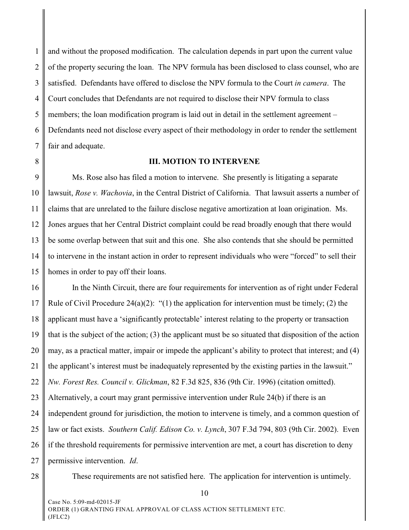1 2 3 4 5 6 7 and without the proposed modification. The calculation depends in part upon the current value of the property securing the loan. The NPV formula has been disclosed to class counsel, who are satisfied. Defendants have offered to disclose the NPV formula to the Court *in camera*. The Court concludes that Defendants are not required to disclose their NPV formula to class members; the loan modification program is laid out in detail in the settlement agreement – Defendants need not disclose every aspect of their methodology in order to render the settlement fair and adequate.

8

#### **III. MOTION TO INTERVENE**

9 10 11 12 13 14 15 Ms. Rose also has filed a motion to intervene. She presently is litigating a separate lawsuit, *Rose v. Wachovia*, in the Central District of California. That lawsuit asserts a number of claims that are unrelated to the failure disclose negative amortization at loan origination. Ms. Jones argues that her Central District complaint could be read broadly enough that there would be some overlap between that suit and this one. She also contends that she should be permitted to intervene in the instant action in order to represent individuals who were "forced" to sell their homes in order to pay off their loans.

16 17 18 19 20 21 22 23 24 25 26 27 In the Ninth Circuit, there are four requirements for intervention as of right under Federal Rule of Civil Procedure 24(a)(2): "(1) the application for intervention must be timely; (2) the applicant must have a 'significantly protectable' interest relating to the property or transaction that is the subject of the action; (3) the applicant must be so situated that disposition of the action may, as a practical matter, impair or impede the applicant's ability to protect that interest; and (4) the applicant's interest must be inadequately represented by the existing parties in the lawsuit." *Nw. Forest Res. Council v. Glickman*, 82 F.3d 825, 836 (9th Cir. 1996) (citation omitted). Alternatively, a court may grant permissive intervention under Rule 24(b) if there is an independent ground for jurisdiction, the motion to intervene is timely, and a common question of law or fact exists. *Southern Calif. Edison Co. v. Lynch*, 307 F.3d 794, 803 (9th Cir. 2002). Even if the threshold requirements for permissive intervention are met, a court has discretion to deny permissive intervention. *Id*.

28

These requirements are not satisfied here. The application for intervention is untimely.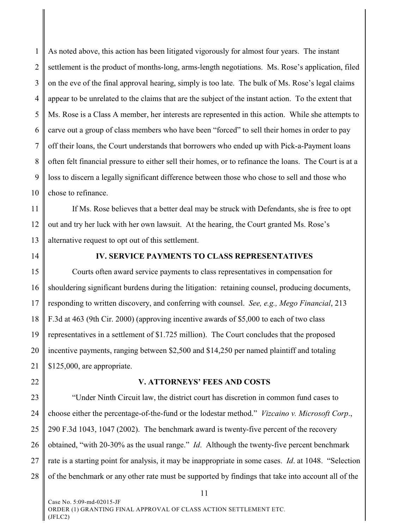1 2 3 4 5 6 7 8 9 10 As noted above, this action has been litigated vigorously for almost four years. The instant settlement is the product of months-long, arms-length negotiations. Ms. Rose's application, filed on the eve of the final approval hearing, simply is too late. The bulk of Ms. Rose's legal claims appear to be unrelated to the claims that are the subject of the instant action. To the extent that Ms. Rose is a Class A member, her interests are represented in this action. While she attempts to carve out a group of class members who have been "forced" to sell their homes in order to pay off their loans, the Court understands that borrowers who ended up with Pick-a-Payment loans often felt financial pressure to either sell their homes, or to refinance the loans. The Court is at a loss to discern a legally significant difference between those who chose to sell and those who chose to refinance.

11 12 13 If Ms. Rose believes that a better deal may be struck with Defendants, she is free to opt out and try her luck with her own lawsuit. At the hearing, the Court granted Ms. Rose's alternative request to opt out of this settlement.

14

## **IV. SERVICE PAYMENTS TO CLASS REPRESENTATIVES**

15 16 17 18 19 20 21 Courts often award service payments to class representatives in compensation for shouldering significant burdens during the litigation: retaining counsel, producing documents, responding to written discovery, and conferring with counsel. *See, e.g., Mego Financial*, 213 F.3d at 463 (9th Cir. 2000) (approving incentive awards of \$5,000 to each of two class representatives in a settlement of \$1.725 million). The Court concludes that the proposed incentive payments, ranging between \$2,500 and \$14,250 per named plaintiff and totaling \$125,000, are appropriate.

22

#### **V. ATTORNEYS' FEES AND COSTS**

23 24 25 26 27 28 "Under Ninth Circuit law, the district court has discretion in common fund cases to choose either the percentage-of-the-fund or the lodestar method." *Vizcaino v. Microsoft Corp*., 290 F.3d 1043, 1047 (2002). The benchmark award is twenty-five percent of the recovery obtained, "with 20-30% as the usual range." *Id*. Although the twenty-five percent benchmark rate is a starting point for analysis, it may be inappropriate in some cases. *Id*. at 1048. "Selection of the benchmark or any other rate must be supported by findings that take into account all of the

Case No. 5:09-md-02015-JF ORDER (1) GRANTING FINAL APPROVAL OF CLASS ACTION SETTLEMENT ETC. (JFLC2)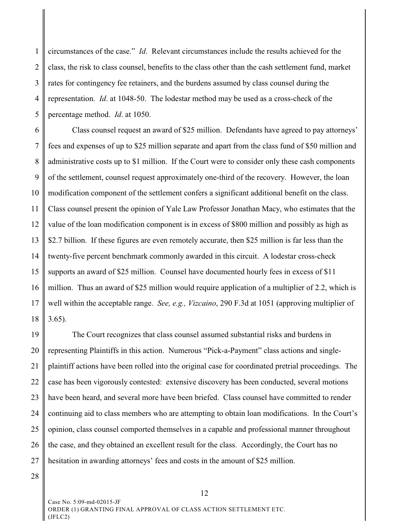1 2 3 4 5 circumstances of the case." *Id*. Relevant circumstances include the results achieved for the class, the risk to class counsel, benefits to the class other than the cash settlement fund, market rates for contingency fee retainers, and the burdens assumed by class counsel during the representation. *Id*. at 1048-50. The lodestar method may be used as a cross-check of the percentage method. *Id*. at 1050.

6 7 8 9 10 11 12 13 14 15 16 17 18 Class counsel request an award of \$25 million. Defendants have agreed to pay attorneys' fees and expenses of up to \$25 million separate and apart from the class fund of \$50 million and administrative costs up to \$1 million. If the Court were to consider only these cash components of the settlement, counsel request approximately one-third of the recovery. However, the loan modification component of the settlement confers a significant additional benefit on the class. Class counsel present the opinion of Yale Law Professor Jonathan Macy, who estimates that the value of the loan modification component is in excess of \$800 million and possibly as high as \$2.7 billion. If these figures are even remotely accurate, then \$25 million is far less than the twenty-five percent benchmark commonly awarded in this circuit. A lodestar cross-check supports an award of \$25 million. Counsel have documented hourly fees in excess of \$11 million. Thus an award of \$25 million would require application of a multiplier of 2.2, which is well within the acceptable range. *See, e.g., Vizcaino*, 290 F.3d at 1051 (approving multiplier of 3.65).

19 20 21 22 23 24 25 26 27 The Court recognizes that class counsel assumed substantial risks and burdens in representing Plaintiffs in this action. Numerous "Pick-a-Payment" class actions and singleplaintiff actions have been rolled into the original case for coordinated pretrial proceedings. The case has been vigorously contested: extensive discovery has been conducted, several motions have been heard, and several more have been briefed. Class counsel have committed to render continuing aid to class members who are attempting to obtain loan modifications. In the Court's opinion, class counsel comported themselves in a capable and professional manner throughout the case, and they obtained an excellent result for the class. Accordingly, the Court has no hesitation in awarding attorneys' fees and costs in the amount of \$25 million.